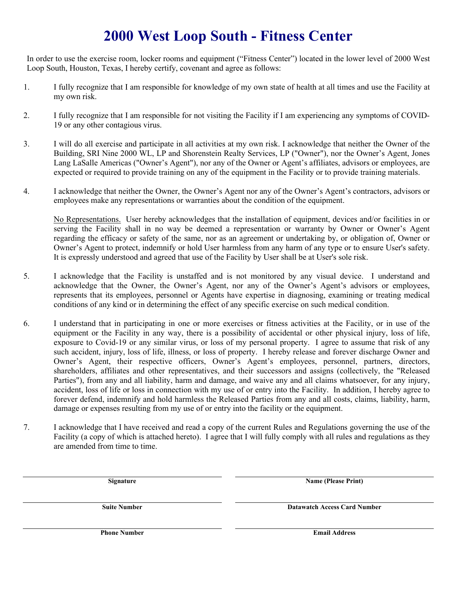# **2000 West Loop South - Fitness Center**

In order to use the exercise room, locker rooms and equipment ("Fitness Center") located in the lower level of 2000 West Loop South, Houston, Texas, I hereby certify, covenant and agree as follows:

- 1. I fully recognize that I am responsible for knowledge of my own state of health at all times and use the Facility at my own risk.
- 2. I fully recognize that I am responsible for not visiting the Facility if I am experiencing any symptoms of COVID-19 or any other contagious virus.
- 3. I will do all exercise and participate in all activities at my own risk. I acknowledge that neither the Owner of the Building, SRI Nine 2000 WL, LP and Shorenstein Realty Services, LP ("Owner"), nor the Owner's Agent, Jones Lang LaSalle Americas ("Owner's Agent"), nor any of the Owner or Agent's affiliates, advisors or employees, are expected or required to provide training on any of the equipment in the Facility or to provide training materials.
- 4. I acknowledge that neither the Owner, the Owner's Agent nor any of the Owner's Agent's contractors, advisors or employees make any representations or warranties about the condition of the equipment.

No Representations. User hereby acknowledges that the installation of equipment, devices and/or facilities in or serving the Facility shall in no way be deemed a representation or warranty by Owner or Owner's Agent regarding the efficacy or safety of the same, nor as an agreement or undertaking by, or obligation of, Owner or Owner's Agent to protect, indemnify or hold User harmless from any harm of any type or to ensure User's safety. It is expressly understood and agreed that use of the Facility by User shall be at User's sole risk.

- 5. I acknowledge that the Facility is unstaffed and is not monitored by any visual device. I understand and acknowledge that the Owner, the Owner's Agent, nor any of the Owner's Agent's advisors or employees, represents that its employees, personnel or Agents have expertise in diagnosing, examining or treating medical conditions of any kind or in determining the effect of any specific exercise on such medical condition.
- 6. I understand that in participating in one or more exercises or fitness activities at the Facility, or in use of the equipment or the Facility in any way, there is a possibility of accidental or other physical injury, loss of life, exposure to Covid-19 or any similar virus, or loss of my personal property. I agree to assume that risk of any such accident, injury, loss of life, illness, or loss of property. I hereby release and forever discharge Owner and Owner's Agent, their respective officers, Owner's Agent's employees, personnel, partners, directors, shareholders, affiliates and other representatives, and their successors and assigns (collectively, the "Released Parties"), from any and all liability, harm and damage, and waive any and all claims whatsoever, for any injury, accident, loss of life or loss in connection with my use of or entry into the Facility. In addition, I hereby agree to forever defend, indemnify and hold harmless the Released Parties from any and all costs, claims, liability, harm, damage or expenses resulting from my use of or entry into the facility or the equipment.
- 7. I acknowledge that I have received and read a copy of the current Rules and Regulations governing the use of the Facility (a copy of which is attached hereto). I agree that I will fully comply with all rules and regulations as they are amended from time to time.

**Signature Name (Please Print)**

**Suite Number Datawatch Access Card Number Datawatch Access Card Number** 

**Phone Number Email Address**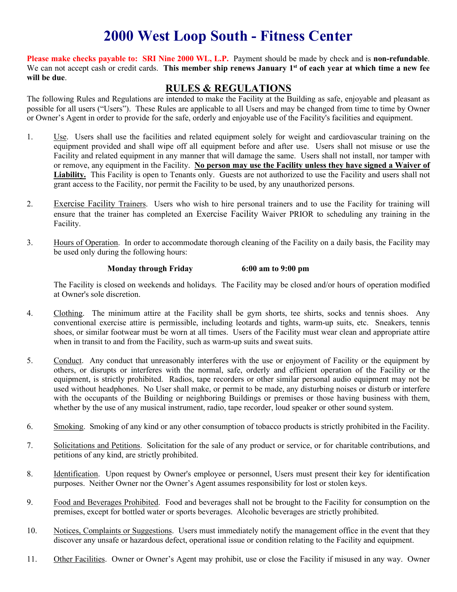## **2000 West Loop South - Fitness Center**

**Please make checks payable to: SRI Nine 2000 WL, L.P.** Payment should be made by check and is **non-refundable**. We can not accept cash or credit cards. **This member ship renews January 1st of each year at which time a new fee will be due**.

### **RULES & REGULATIONS**

The following Rules and Regulations are intended to make the Facility at the Building as safe, enjoyable and pleasant as possible for all users ("Users"). These Rules are applicable to all Users and may be changed from time to time by Owner or Owner's Agent in order to provide for the safe, orderly and enjoyable use of the Facility's facilities and equipment.

- 1. Use. Users shall use the facilities and related equipment solely for weight and cardiovascular training on the equipment provided and shall wipe off all equipment before and after use. Users shall not misuse or use the Facility and related equipment in any manner that will damage the same. Users shall not install, nor tamper with or remove, any equipment in the Facility. **No person may use the Facility unless they have signed a Waiver of Liability.** This Facility is open to Tenants only. Guests are not authorized to use the Facility and users shall not grant access to the Facility, nor permit the Facility to be used, by any unauthorized persons.
- 2. Exercise Facility Trainers. Users who wish to hire personal trainers and to use the Facility for training will ensure that the trainer has completed an Exercise Facility Waiver PRIOR to scheduling any training in the Facility.
- 3. Hours of Operation. In order to accommodate thorough cleaning of the Facility on a daily basis, the Facility may be used only during the following hours:

#### **Monday through Friday 6:00 am to 9:00 pm**

The Facility is closed on weekends and holidays. The Facility may be closed and/or hours of operation modified at Owner's sole discretion.

- 4. Clothing. The minimum attire at the Facility shall be gym shorts, tee shirts, socks and tennis shoes. Any conventional exercise attire is permissible, including leotards and tights, warm-up suits, etc. Sneakers, tennis shoes, or similar footwear must be worn at all times. Users of the Facility must wear clean and appropriate attire when in transit to and from the Facility, such as warm-up suits and sweat suits.
- 5. Conduct. Any conduct that unreasonably interferes with the use or enjoyment of Facility or the equipment by others, or disrupts or interferes with the normal, safe, orderly and efficient operation of the Facility or the equipment, is strictly prohibited. Radios, tape recorders or other similar personal audio equipment may not be used without headphones. No User shall make, or permit to be made, any disturbing noises or disturb or interfere with the occupants of the Building or neighboring Buildings or premises or those having business with them, whether by the use of any musical instrument, radio, tape recorder, loud speaker or other sound system.
- 6. Smoking. Smoking of any kind or any other consumption of tobacco products is strictly prohibited in the Facility.
- 7. Solicitations and Petitions. Solicitation for the sale of any product or service, or for charitable contributions, and petitions of any kind, are strictly prohibited.
- 8. Identification. Upon request by Owner's employee or personnel, Users must present their key for identification purposes. Neither Owner nor the Owner's Agent assumes responsibility for lost or stolen keys.
- 9. Food and Beverages Prohibited. Food and beverages shall not be brought to the Facility for consumption on the premises, except for bottled water or sports beverages. Alcoholic beverages are strictly prohibited.
- 10. Notices, Complaints or Suggestions. Users must immediately notify the management office in the event that they discover any unsafe or hazardous defect, operational issue or condition relating to the Facility and equipment.
- 11. Other Facilities. Owner or Owner's Agent may prohibit, use or close the Facility if misused in any way. Owner